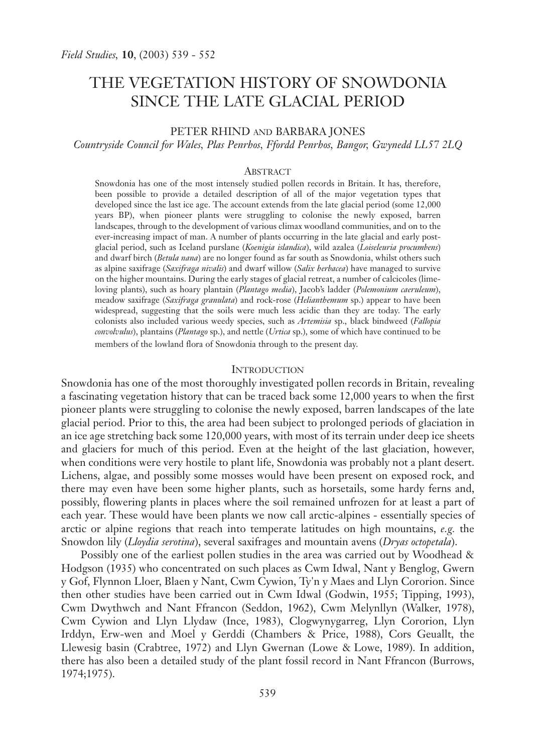# THE VEGETATION HISTORY OF SNOWDONIA SINCE THE LATE GLACIAL PERIOD

# PETER RHIND AND BARBARA JONES

*Countryside Council for Wales, Plas Penrhos, Ffordd Penrhos, Bangor, Gwynedd LL57 2LQ*

## **ABSTRACT**

Snowdonia has one of the most intensely studied pollen records in Britain. It has, therefore, been possible to provide a detailed description of all of the major vegetation types that developed since the last ice age. The account extends from the late glacial period (some 12,000 years BP), when pioneer plants were struggling to colonise the newly exposed, barren landscapes, through to the development of various climax woodland communities, and on to the ever-increasing impact of man. A number of plants occurring in the late glacial and early postglacial period, such as Iceland purslane (*Koenigia islandica*), wild azalea (*Loiseleuria procumbens*) and dwarf birch (*Betula nana*) are no longer found as far south as Snowdonia, whilst others such as alpine saxifrage (*Saxifraga nivalis*) and dwarf willow (*Salix herbacea*) have managed to survive on the higher mountains. During the early stages of glacial retreat, a number of calcicoles (limeloving plants), such as hoary plantain (*Plantago media*), Jacob's ladder (*Polemonium caeruleum*), meadow saxifrage (*Saxifraga granulata*) and rock-rose (*Helianthemum* sp.) appear to have been widespread, suggesting that the soils were much less acidic than they are today. The early colonists also included various weedy species, such as *Artemisia* sp., black bindweed (*Fallopia convolvulus*), plantains (*Plantago* sp.), and nettle (*Urtica* sp.), some of which have continued to be members of the lowland flora of Snowdonia through to the present day.

## **INTRODUCTION**

Snowdonia has one of the most thoroughly investigated pollen records in Britain, revealing a fascinating vegetation history that can be traced back some 12,000 years to when the first pioneer plants were struggling to colonise the newly exposed, barren landscapes of the late glacial period. Prior to this, the area had been subject to prolonged periods of glaciation in an ice age stretching back some 120,000 years, with most of its terrain under deep ice sheets and glaciers for much of this period. Even at the height of the last glaciation, however, when conditions were very hostile to plant life, Snowdonia was probably not a plant desert. Lichens, algae, and possibly some mosses would have been present on exposed rock, and there may even have been some higher plants, such as horsetails, some hardy ferns and, possibly, flowering plants in places where the soil remained unfrozen for at least a part of each year. These would have been plants we now call arctic-alpines - essentially species of arctic or alpine regions that reach into temperate latitudes on high mountains, *e.g.* the Snowdon lily (*Lloydia serotina*), several saxifrages and mountain avens (*Dryas octopetala*).

Possibly one of the earliest pollen studies in the area was carried out by Woodhead & Hodgson (1935) who concentrated on such places as Cwm Idwal, Nant y Benglog, Gwern y Gof, Flynnon Lloer, Blaen y Nant, Cwm Cywion, Ty'n y Maes and Llyn Cororion. Since then other studies have been carried out in Cwm Idwal (Godwin, 1955; Tipping, 1993), Cwm Dwythwch and Nant Ffrancon (Seddon, 1962), Cwm Melynllyn (Walker, 1978), Cwm Cywion and Llyn Llydaw (Ince, 1983), Clogwynygarreg, Llyn Cororion, Llyn Irddyn, Erw-wen and Moel y Gerddi (Chambers & Price, 1988), Cors Geuallt, the Llewesig basin (Crabtree, 1972) and Llyn Gwernan (Lowe & Lowe, 1989). In addition, there has also been a detailed study of the plant fossil record in Nant Ffrancon (Burrows, 1974;1975).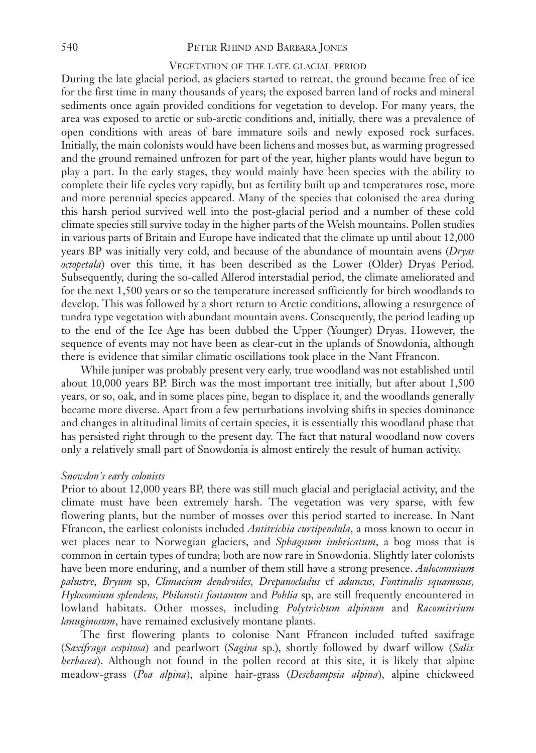# 540 PETER RHIND AND BARBARA JONES

# VEGETATION OF THE LATE GLACIAL PERIOD

During the late glacial period, as glaciers started to retreat, the ground became free of ice for the first time in many thousands of years; the exposed barren land of rocks and mineral sediments once again provided conditions for vegetation to develop. For many years, the area was exposed to arctic or sub-arctic conditions and, initially, there was a prevalence of open conditions with areas of bare immature soils and newly exposed rock surfaces. Initially, the main colonists would have been lichens and mosses but, as warming progressed and the ground remained unfrozen for part of the year, higher plants would have begun to play a part. In the early stages, they would mainly have been species with the ability to complete their life cycles very rapidly, but as fertility built up and temperatures rose, more and more perennial species appeared. Many of the species that colonised the area during this harsh period survived well into the post-glacial period and a number of these cold climate species still survive today in the higher parts of the Welsh mountains. Pollen studies in various parts of Britain and Europe have indicated that the climate up until about 12,000 years BP was initially very cold, and because of the abundance of mountain avens (*Dryas octopetala*) over this time, it has been described as the Lower (Older) Dryas Period. Subsequently, during the so-called Allerod interstadial period, the climate ameliorated and for the next 1,500 years or so the temperature increased sufficiently for birch woodlands to develop. This was followed by a short return to Arctic conditions, allowing a resurgence of tundra type vegetation with abundant mountain avens. Consequently, the period leading up to the end of the Ice Age has been dubbed the Upper (Younger) Dryas. However, the sequence of events may not have been as clear-cut in the uplands of Snowdonia, although there is evidence that similar climatic oscillations took place in the Nant Ffrancon.

While juniper was probably present very early, true woodland was not established until about 10,000 years BP. Birch was the most important tree initially, but after about 1,500 years, or so, oak, and in some places pine, began to displace it, and the woodlands generally became more diverse. Apart from a few perturbations involving shifts in species dominance and changes in altitudinal limits of certain species, it is essentially this woodland phase that has persisted right through to the present day. The fact that natural woodland now covers only a relatively small part of Snowdonia is almost entirely the result of human activity.

#### *Snowdon's early colonists*

Prior to about 12,000 years BP, there was still much glacial and periglacial activity, and the climate must have been extremely harsh. The vegetation was very sparse, with few flowering plants, but the number of mosses over this period started to increase. In Nant Ffrancon, the earliest colonists included *Antitrichia curtipendula*, a moss known to occur in wet places near to Norwegian glaciers, and *Sphagnum imbricatum*, a bog moss that is common in certain types of tundra; both are now rare in Snowdonia. Slightly later colonists have been more enduring, and a number of them still have a strong presence. *Aulocomnium palustre, Bryum* sp, *Climacium dendroides, Drepanocladus* cf *aduncus, Fontinalis squamosus, Hylocomium splendens, Philonotis fontanum* and *Pohlia* sp, are still frequently encountered in lowland habitats. Other mosses, including *Polytrichum alpinum* and *Racomitrium lanuginosum*, have remained exclusively montane plants.

The first flowering plants to colonise Nant Ffrancon included tufted saxifrage (*Saxifraga cespitosa*) and pearlwort (*Sagina* sp.), shortly followed by dwarf willow (*Salix herbacea*). Although not found in the pollen record at this site, it is likely that alpine meadow-grass (*Poa alpina*), alpine hair-grass (*Deschampsia alpina*), alpine chickweed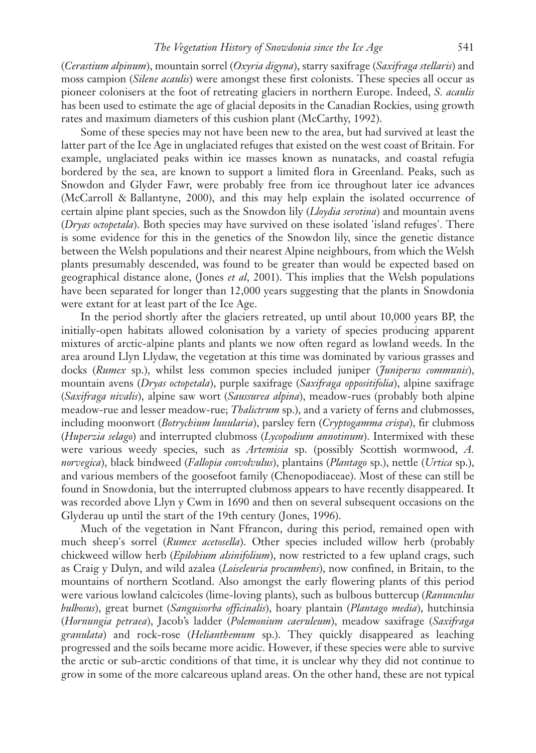(*Cerastium alpinum*), mountain sorrel (*Oxyria digyna*), starry saxifrage (*Saxifraga stellaris*) and moss campion (*Silene acaulis*) were amongst these first colonists. These species all occur as pioneer colonisers at the foot of retreating glaciers in northern Europe. Indeed, *S. acaulis* has been used to estimate the age of glacial deposits in the Canadian Rockies, using growth rates and maximum diameters of this cushion plant (McCarthy, 1992).

Some of these species may not have been new to the area, but had survived at least the latter part of the Ice Age in unglaciated refuges that existed on the west coast of Britain. For example, unglaciated peaks within ice masses known as nunatacks, and coastal refugia bordered by the sea, are known to support a limited flora in Greenland. Peaks, such as Snowdon and Glyder Fawr, were probably free from ice throughout later ice advances (McCarroll & Ballantyne, 2000), and this may help explain the isolated occurrence of certain alpine plant species, such as the Snowdon lily (*Lloydia serotina*) and mountain avens (*Dryas octopetala*). Both species may have survived on these isolated 'island refuges'. There is some evidence for this in the genetics of the Snowdon lily, since the genetic distance between the Welsh populations and their nearest Alpine neighbours, from which the Welsh plants presumably descended, was found to be greater than would be expected based on geographical distance alone, (Jones *et al*, 2001). This implies that the Welsh populations have been separated for longer than 12,000 years suggesting that the plants in Snowdonia were extant for at least part of the Ice Age.

In the period shortly after the glaciers retreated, up until about 10,000 years BP, the initially-open habitats allowed colonisation by a variety of species producing apparent mixtures of arctic-alpine plants and plants we now often regard as lowland weeds. In the area around Llyn Llydaw, the vegetation at this time was dominated by various grasses and docks (*Rumex* sp.), whilst less common species included juniper (*Juniperus communis*), mountain avens (*Dryas octopetala*), purple saxifrage (*Saxifraga oppositifolia*), alpine saxifrage (*Saxifraga nivalis*), alpine saw wort (*Saussurea alpina*), meadow-rues (probably both alpine meadow-rue and lesser meadow-rue; *Thalictrum* sp.), and a variety of ferns and clubmosses, including moonwort (*Botrychium lunularia*), parsley fern (*Cryptogamma crispa*), fir clubmoss (*Huperzia selago*) and interrupted clubmoss (*Lycopodium annotinum*). Intermixed with these were various weedy species, such as *Artemisia* sp. (possibly Scottish wormwood, *A. norvegica*), black bindweed (*Fallopia convolvulus*), plantains (*Plantago* sp.), nettle (*Urtica* sp.), and various members of the goosefoot family (Chenopodiaceae). Most of these can still be found in Snowdonia, but the interrupted clubmoss appears to have recently disappeared. It was recorded above Llyn y Cwm in 1690 and then on several subsequent occasions on the Glyderau up until the start of the 19th century (Jones, 1996).

Much of the vegetation in Nant Ffrancon, during this period, remained open with much sheep's sorrel (*Rumex acetosella*). Other species included willow herb (probably chickweed willow herb (*Epilobium alsinifolium*), now restricted to a few upland crags, such as Craig y Dulyn, and wild azalea (*Loiseleuria procumbens*), now confined, in Britain, to the mountains of northern Scotland. Also amongst the early flowering plants of this period were various lowland calcicoles (lime-loving plants), such as bulbous buttercup (*Ranunculus bulbosus*), great burnet (*Sanguisorba officinalis*), hoary plantain (*Plantago media*), hutchinsia (*Hornungia petraea*), Jacob's ladder (*Polemonium caeruleum*), meadow saxifrage (*Saxifraga granulata*) and rock-rose (*Helianthemum* sp.). They quickly disappeared as leaching progressed and the soils became more acidic. However, if these species were able to survive the arctic or sub-arctic conditions of that time, it is unclear why they did not continue to grow in some of the more calcareous upland areas. On the other hand, these are not typical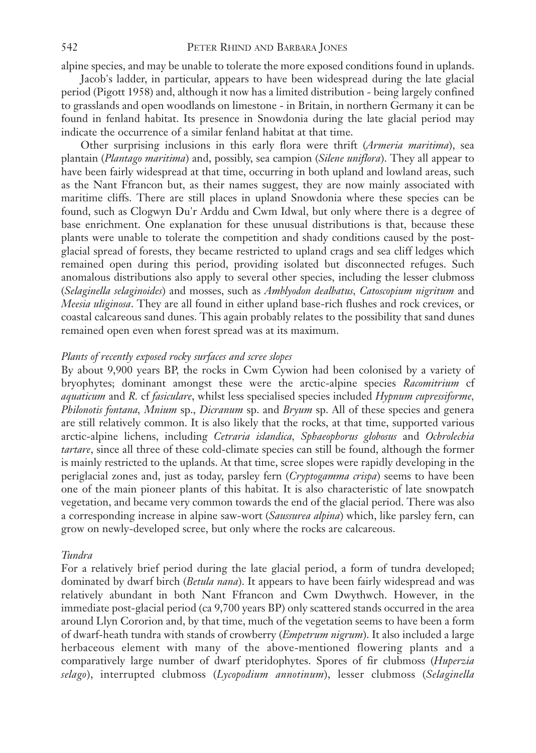alpine species, and may be unable to tolerate the more exposed conditions found in uplands.

Jacob's ladder, in particular, appears to have been widespread during the late glacial period (Pigott 1958) and, although it now has a limited distribution - being largely confined to grasslands and open woodlands on limestone - in Britain, in northern Germany it can be found in fenland habitat. Its presence in Snowdonia during the late glacial period may indicate the occurrence of a similar fenland habitat at that time.

Other surprising inclusions in this early flora were thrift (*Armeria maritima*), sea plantain (*Plantago maritima*) and, possibly, sea campion (*Silene uniflora*). They all appear to have been fairly widespread at that time, occurring in both upland and lowland areas, such as the Nant Ffrancon but, as their names suggest, they are now mainly associated with maritime cliffs. There are still places in upland Snowdonia where these species can be found, such as Clogwyn Du'r Arddu and Cwm Idwal, but only where there is a degree of base enrichment. One explanation for these unusual distributions is that, because these plants were unable to tolerate the competition and shady conditions caused by the postglacial spread of forests, they became restricted to upland crags and sea cliff ledges which remained open during this period, providing isolated but disconnected refuges. Such anomalous distributions also apply to several other species, including the lesser clubmoss (*Selaginella selaginoides*) and mosses, such as *Amblyodon dealbatus, Catoscopium nigritum* and *Meesia uliginosa*. They are all found in either upland base-rich flushes and rock crevices, or coastal calcareous sand dunes. This again probably relates to the possibility that sand dunes remained open even when forest spread was at its maximum.

## *Plants of recently exposed rocky surfaces and scree slopes*

By about 9,900 years BP, the rocks in Cwm Cywion had been colonised by a variety of bryophytes; dominant amongst these were the arctic-alpine species *Racomitrium* cf *aquaticum* and *R.* cf *fasiculare*, whilst less specialised species included *Hypnum cupressiforme, Philonotis fontana, Mnium* sp., *Dicranum* sp. and *Bryum* sp. All of these species and genera are still relatively common. It is also likely that the rocks, at that time, supported various arctic-alpine lichens, including *Cetraria islandica, Sphaeophorus globosus* and *Ochrolechia tartare*, since all three of these cold-climate species can still be found, although the former is mainly restricted to the uplands. At that time, scree slopes were rapidly developing in the periglacial zones and, just as today, parsley fern (*Cryptogamma crispa*) seems to have been one of the main pioneer plants of this habitat. It is also characteristic of late snowpatch vegetation, and became very common towards the end of the glacial period. There was also a corresponding increase in alpine saw-wort (*Saussurea alpina*) which, like parsley fern, can grow on newly-developed scree, but only where the rocks are calcareous.

# *Tundra*

For a relatively brief period during the late glacial period, a form of tundra developed; dominated by dwarf birch (*Betula nana*). It appears to have been fairly widespread and was relatively abundant in both Nant Ffrancon and Cwm Dwythwch. However, in the immediate post-glacial period (ca 9,700 years BP) only scattered stands occurred in the area around Llyn Cororion and, by that time, much of the vegetation seems to have been a form of dwarf-heath tundra with stands of crowberry (*Empetrum nigrum*). It also included a large herbaceous element with many of the above-mentioned flowering plants and a comparatively large number of dwarf pteridophytes. Spores of fir clubmoss (*Huperzia selago*), interrupted clubmoss (*Lycopodium annotinum*), lesser clubmoss (*Selaginella*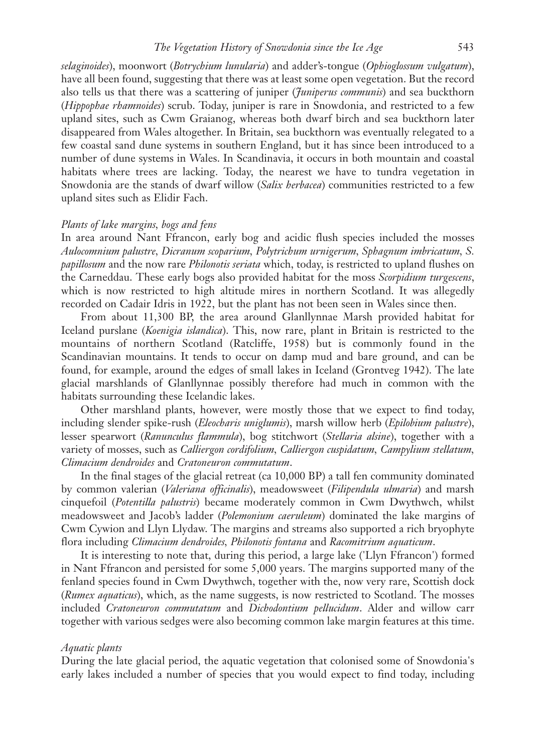## *The Vegetation History of Snowdonia since the Ice Age* 543

*selaginoides*), moonwort (*Botrychium lunularia*) and adder's-tongue (*Ophioglossum vulgatum*), have all been found, suggesting that there was at least some open vegetation. But the record also tells us that there was a scattering of juniper (*Juniperus communis*) and sea buckthorn (*Hippophae rhamnoides*) scrub. Today, juniper is rare in Snowdonia, and restricted to a few upland sites, such as Cwm Graianog, whereas both dwarf birch and sea buckthorn later disappeared from Wales altogether. In Britain, sea buckthorn was eventually relegated to a few coastal sand dune systems in southern England, but it has since been introduced to a number of dune systems in Wales. In Scandinavia, it occurs in both mountain and coastal habitats where trees are lacking. Today, the nearest we have to tundra vegetation in Snowdonia are the stands of dwarf willow (*Salix herbacea*) communities restricted to a few upland sites such as Elidir Fach.

## *Plants of lake margins, bogs and fens*

In area around Nant Ffrancon, early bog and acidic flush species included the mosses *Aulocomnium palustre, Dicranum scoparium, Polytrichum urnigerum, Sphagnum imbricatum, S. papillosum* and the now rare *Philonotis seriata* which, today, is restricted to upland flushes on the Carneddau. These early bogs also provided habitat for the moss *Scorpidium turgescens*, which is now restricted to high altitude mires in northern Scotland. It was allegedly recorded on Cadair Idris in 1922, but the plant has not been seen in Wales since then.

From about 11,300 BP, the area around Glanllynnae Marsh provided habitat for Iceland purslane (*Koenigia islandica*). This, now rare, plant in Britain is restricted to the mountains of northern Scotland (Ratcliffe, 1958) but is commonly found in the Scandinavian mountains. It tends to occur on damp mud and bare ground, and can be found, for example, around the edges of small lakes in Iceland (Grontveg 1942). The late glacial marshlands of Glanllynnae possibly therefore had much in common with the habitats surrounding these Icelandic lakes.

Other marshland plants, however, were mostly those that we expect to find today, including slender spike-rush (*Eleocharis uniglumis*), marsh willow herb (*Epilobium palustre*), lesser spearwort (*Ranunculus flammula*), bog stitchwort (*Stellaria alsine*), together with a variety of mosses, such as *Calliergon cordifolium, Calliergon cuspidatum, Campylium stellatum, Climacium dendroides* and *Cratoneuron commutatum*.

In the final stages of the glacial retreat (ca 10,000 BP) a tall fen community dominated by common valerian (*Valeriana officinalis*), meadowsweet (*Filipendula ulmaria*) and marsh cinquefoil (*Potentilla palustris*) became moderately common in Cwm Dwythwch, whilst meadowsweet and Jacob's ladder (*Polemonium caeruleum*) dominated the lake margins of Cwm Cywion and Llyn Llydaw. The margins and streams also supported a rich bryophyte flora including *Climacium dendroides, Philonotis fontana* and *Racomitrium aquaticum*.

It is interesting to note that, during this period, a large lake ('Llyn Ffrancon') formed in Nant Ffrancon and persisted for some 5,000 years. The margins supported many of the fenland species found in Cwm Dwythwch, together with the, now very rare, Scottish dock (*Rumex aquaticus*), which, as the name suggests, is now restricted to Scotland. The mosses included *Cratoneuron commutatum* and *Dichodontium pellucidum*. Alder and willow carr together with various sedges were also becoming common lake margin features at this time.

# *Aquatic plants*

During the late glacial period, the aquatic vegetation that colonised some of Snowdonia's early lakes included a number of species that you would expect to find today, including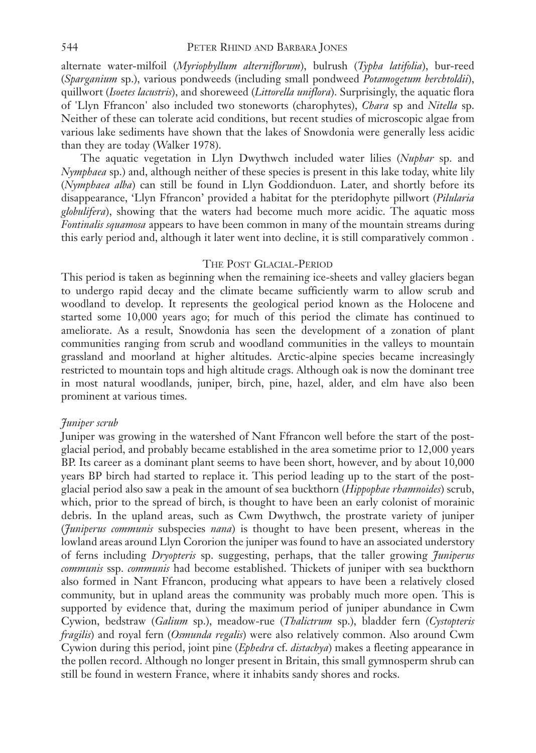alternate water-milfoil (*Myriophyllum alterniflorum*), bulrush (*Typha latifolia*), bur-reed (*Sparganium* sp.), various pondweeds (including small pondweed *Potamogetum berchtoldii*), quillwort (*Isoetes lacustris*), and shoreweed (*Littorella uniflora*). Surprisingly, the aquatic flora of 'Llyn Ffrancon' also included two stoneworts (charophytes), *Chara* sp and *Nitella* sp. Neither of these can tolerate acid conditions, but recent studies of microscopic algae from various lake sediments have shown that the lakes of Snowdonia were generally less acidic than they are today (Walker 1978).

The aquatic vegetation in Llyn Dwythwch included water lilies (*Nuphar* sp. and *Nymphaea* sp.) and, although neither of these species is present in this lake today, white lily (*Nymphaea alba*) can still be found in Llyn Goddionduon. Later, and shortly before its disappearance, 'Llyn Ffrancon' provided a habitat for the pteridophyte pillwort (*Pilularia globulifera*), showing that the waters had become much more acidic. The aquatic moss *Fontinalis squamosa* appears to have been common in many of the mountain streams during this early period and, although it later went into decline, it is still comparatively common .

# THE POST GLACIAL-PERIOD

This period is taken as beginning when the remaining ice-sheets and valley glaciers began to undergo rapid decay and the climate became sufficiently warm to allow scrub and woodland to develop. It represents the geological period known as the Holocene and started some 10,000 years ago; for much of this period the climate has continued to ameliorate. As a result, Snowdonia has seen the development of a zonation of plant communities ranging from scrub and woodland communities in the valleys to mountain grassland and moorland at higher altitudes. Arctic-alpine species became increasingly restricted to mountain tops and high altitude crags. Although oak is now the dominant tree in most natural woodlands, juniper, birch, pine, hazel, alder, and elm have also been prominent at various times.

# *Juniper scrub*

Juniper was growing in the watershed of Nant Ffrancon well before the start of the postglacial period, and probably became established in the area sometime prior to 12,000 years BP. Its career as a dominant plant seems to have been short, however, and by about 10,000 years BP birch had started to replace it. This period leading up to the start of the postglacial period also saw a peak in the amount of sea buckthorn (*Hippophae rhamnoides*) scrub, which, prior to the spread of birch, is thought to have been an early colonist of morainic debris. In the upland areas, such as Cwm Dwythwch, the prostrate variety of juniper (*Juniperus communis* subspecies *nana*) is thought to have been present, whereas in the lowland areas around Llyn Cororion the juniper was found to have an associated understory of ferns including *Dryopteris* sp. suggesting, perhaps, that the taller growing *Juniperus communis* ssp. *communis* had become established. Thickets of juniper with sea buckthorn also formed in Nant Ffrancon, producing what appears to have been a relatively closed community, but in upland areas the community was probably much more open. This is supported by evidence that, during the maximum period of juniper abundance in Cwm Cywion, bedstraw (*Galium* sp.), meadow-rue (*Thalictrum* sp.), bladder fern (*Cystopteris fragilis*) and royal fern (*Osmunda regalis*) were also relatively common. Also around Cwm Cywion during this period, joint pine (*Ephedra* cf. *distachya*) makes a fleeting appearance in the pollen record. Although no longer present in Britain, this small gymnosperm shrub can still be found in western France, where it inhabits sandy shores and rocks.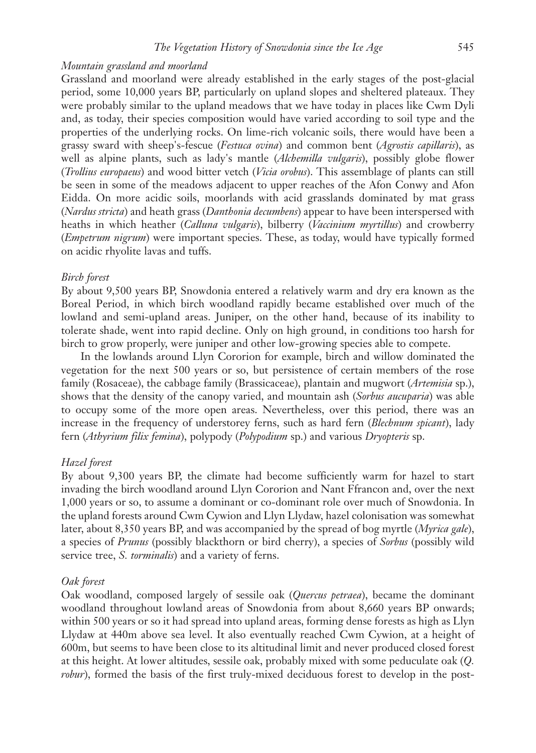# *Mountain grassland and moorland*

Grassland and moorland were already established in the early stages of the post-glacial period, some 10,000 years BP, particularly on upland slopes and sheltered plateaux. They were probably similar to the upland meadows that we have today in places like Cwm Dyli and, as today, their species composition would have varied according to soil type and the properties of the underlying rocks. On lime-rich volcanic soils, there would have been a grassy sward with sheep's-fescue (*Festuca ovina*) and common bent (*Agrostis capillaris*), as well as alpine plants, such as lady's mantle (*Alchemilla vulgaris*), possibly globe flower (*Trollius europaeus*) and wood bitter vetch (*Vicia orobus*). This assemblage of plants can still be seen in some of the meadows adjacent to upper reaches of the Afon Conwy and Afon Eidda. On more acidic soils, moorlands with acid grasslands dominated by mat grass (*Nardus stricta*) and heath grass (*Danthonia decumbens*) appear to have been interspersed with heaths in which heather (*Calluna vulgaris*), bilberry (*Vaccinium myrtillus*) and crowberry (*Empetrum nigrum*) were important species. These, as today, would have typically formed on acidic rhyolite lavas and tuffs.

#### *Birch forest*

By about 9,500 years BP, Snowdonia entered a relatively warm and dry era known as the Boreal Period, in which birch woodland rapidly became established over much of the lowland and semi-upland areas. Juniper, on the other hand, because of its inability to tolerate shade, went into rapid decline. Only on high ground, in conditions too harsh for birch to grow properly, were juniper and other low-growing species able to compete.

In the lowlands around Llyn Cororion for example, birch and willow dominated the vegetation for the next 500 years or so, but persistence of certain members of the rose family (Rosaceae), the cabbage family (Brassicaceae), plantain and mugwort (*Artemisia* sp.), shows that the density of the canopy varied, and mountain ash (*Sorbus aucuparia*) was able to occupy some of the more open areas. Nevertheless, over this period, there was an increase in the frequency of understorey ferns, such as hard fern (*Blechnum spicant*), lady fern (*Athyrium filix femina*), polypody (*Polypodium* sp.) and various *Dryopteris* sp.

#### *Hazel forest*

By about 9,300 years BP, the climate had become sufficiently warm for hazel to start invading the birch woodland around Llyn Cororion and Nant Ffrancon and, over the next 1,000 years or so, to assume a dominant or co-dominant role over much of Snowdonia. In the upland forests around Cwm Cywion and Llyn Llydaw, hazel colonisation was somewhat later, about 8,350 years BP, and was accompanied by the spread of bog myrtle (*Myrica gale*), a species of *Prunus* (possibly blackthorn or bird cherry), a species of *Sorbus* (possibly wild service tree, *S. torminalis*) and a variety of ferns.

#### *Oak forest*

Oak woodland, composed largely of sessile oak (*Quercus petraea*), became the dominant woodland throughout lowland areas of Snowdonia from about 8,660 years BP onwards; within 500 years or so it had spread into upland areas, forming dense forests as high as Llyn Llydaw at 440m above sea level. It also eventually reached Cwm Cywion, at a height of 600m, but seems to have been close to its altitudinal limit and never produced closed forest at this height. At lower altitudes, sessile oak, probably mixed with some peduculate oak (*Q. robur*), formed the basis of the first truly-mixed deciduous forest to develop in the post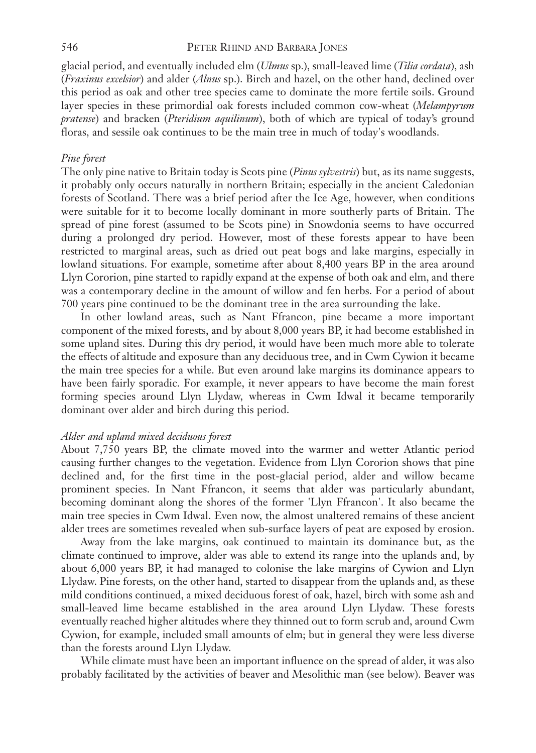glacial period, and eventually included elm (*Ulmus* sp.), small-leaved lime (*Tilia cordata*), ash (*Fraxinus excelsior*) and alder (*Alnus* sp.). Birch and hazel, on the other hand, declined over this period as oak and other tree species came to dominate the more fertile soils. Ground layer species in these primordial oak forests included common cow-wheat (*Melampyrum pratense*) and bracken (*Pteridium aquilinum*), both of which are typical of today's ground floras, and sessile oak continues to be the main tree in much of today's woodlands.

# *Pine forest*

The only pine native to Britain today is Scots pine (*Pinus sylvestris*) but, as its name suggests, it probably only occurs naturally in northern Britain; especially in the ancient Caledonian forests of Scotland. There was a brief period after the Ice Age, however, when conditions were suitable for it to become locally dominant in more southerly parts of Britain. The spread of pine forest (assumed to be Scots pine) in Snowdonia seems to have occurred during a prolonged dry period. However, most of these forests appear to have been restricted to marginal areas, such as dried out peat bogs and lake margins, especially in lowland situations. For example, sometime after about 8,400 years BP in the area around Llyn Cororion, pine started to rapidly expand at the expense of both oak and elm, and there was a contemporary decline in the amount of willow and fen herbs. For a period of about 700 years pine continued to be the dominant tree in the area surrounding the lake.

In other lowland areas, such as Nant Ffrancon, pine became a more important component of the mixed forests, and by about 8,000 years BP, it had become established in some upland sites. During this dry period, it would have been much more able to tolerate the effects of altitude and exposure than any deciduous tree, and in Cwm Cywion it became the main tree species for a while. But even around lake margins its dominance appears to have been fairly sporadic. For example, it never appears to have become the main forest forming species around Llyn Llydaw, whereas in Cwm Idwal it became temporarily dominant over alder and birch during this period.

# *Alder and upland mixed deciduous forest*

About 7,750 years BP, the climate moved into the warmer and wetter Atlantic period causing further changes to the vegetation. Evidence from Llyn Cororion shows that pine declined and, for the first time in the post-glacial period, alder and willow became prominent species. In Nant Ffrancon, it seems that alder was particularly abundant, becoming dominant along the shores of the former 'Llyn Ffrancon'. It also became the main tree species in Cwm Idwal. Even now, the almost unaltered remains of these ancient alder trees are sometimes revealed when sub-surface layers of peat are exposed by erosion.

Away from the lake margins, oak continued to maintain its dominance but, as the climate continued to improve, alder was able to extend its range into the uplands and, by about 6,000 years BP, it had managed to colonise the lake margins of Cywion and Llyn Llydaw. Pine forests, on the other hand, started to disappear from the uplands and, as these mild conditions continued, a mixed deciduous forest of oak, hazel, birch with some ash and small-leaved lime became established in the area around Llyn Llydaw. These forests eventually reached higher altitudes where they thinned out to form scrub and, around Cwm Cywion, for example, included small amounts of elm; but in general they were less diverse than the forests around Llyn Llydaw.

While climate must have been an important influence on the spread of alder, it was also probably facilitated by the activities of beaver and Mesolithic man (see below). Beaver was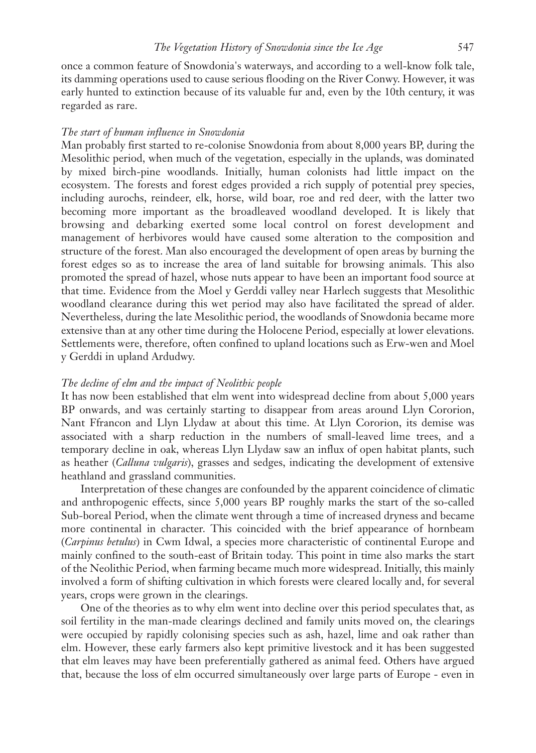once a common feature of Snowdonia's waterways, and according to a well-know folk tale, its damming operations used to cause serious flooding on the River Conwy. However, it was early hunted to extinction because of its valuable fur and, even by the 10th century, it was regarded as rare.

# *The start of human influence in Snowdonia*

Man probably first started to re-colonise Snowdonia from about 8,000 years BP, during the Mesolithic period, when much of the vegetation, especially in the uplands, was dominated by mixed birch-pine woodlands. Initially, human colonists had little impact on the ecosystem. The forests and forest edges provided a rich supply of potential prey species, including aurochs, reindeer, elk, horse, wild boar, roe and red deer, with the latter two becoming more important as the broadleaved woodland developed. It is likely that browsing and debarking exerted some local control on forest development and management of herbivores would have caused some alteration to the composition and structure of the forest. Man also encouraged the development of open areas by burning the forest edges so as to increase the area of land suitable for browsing animals. This also promoted the spread of hazel, whose nuts appear to have been an important food source at that time. Evidence from the Moel y Gerddi valley near Harlech suggests that Mesolithic woodland clearance during this wet period may also have facilitated the spread of alder. Nevertheless, during the late Mesolithic period, the woodlands of Snowdonia became more extensive than at any other time during the Holocene Period, especially at lower elevations. Settlements were, therefore, often confined to upland locations such as Erw-wen and Moel y Gerddi in upland Ardudwy.

## *The decline of elm and the impact of Neolithic people*

It has now been established that elm went into widespread decline from about 5,000 years BP onwards, and was certainly starting to disappear from areas around Llyn Cororion, Nant Ffrancon and Llyn Llydaw at about this time. At Llyn Cororion, its demise was associated with a sharp reduction in the numbers of small-leaved lime trees, and a temporary decline in oak, whereas Llyn Llydaw saw an influx of open habitat plants, such as heather (*Calluna vulgaris*), grasses and sedges, indicating the development of extensive heathland and grassland communities.

Interpretation of these changes are confounded by the apparent coincidence of climatic and anthropogenic effects, since 5,000 years BP roughly marks the start of the so-called Sub-boreal Period, when the climate went through a time of increased dryness and became more continental in character. This coincided with the brief appearance of hornbeam (*Carpinus betulus*) in Cwm Idwal, a species more characteristic of continental Europe and mainly confined to the south-east of Britain today. This point in time also marks the start of the Neolithic Period, when farming became much more widespread. Initially, this mainly involved a form of shifting cultivation in which forests were cleared locally and, for several years, crops were grown in the clearings.

One of the theories as to why elm went into decline over this period speculates that, as soil fertility in the man-made clearings declined and family units moved on, the clearings were occupied by rapidly colonising species such as ash, hazel, lime and oak rather than elm. However, these early farmers also kept primitive livestock and it has been suggested that elm leaves may have been preferentially gathered as animal feed. Others have argued that, because the loss of elm occurred simultaneously over large parts of Europe - even in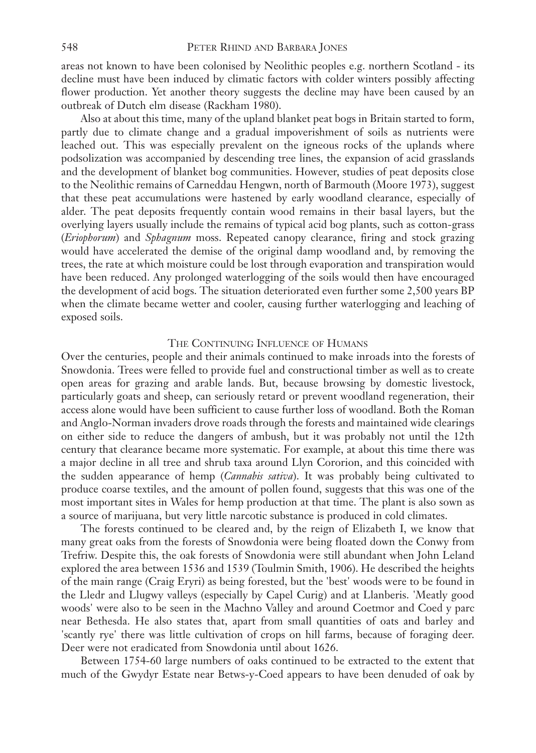areas not known to have been colonised by Neolithic peoples e.g. northern Scotland - its decline must have been induced by climatic factors with colder winters possibly affecting flower production. Yet another theory suggests the decline may have been caused by an outbreak of Dutch elm disease (Rackham 1980).

Also at about this time, many of the upland blanket peat bogs in Britain started to form, partly due to climate change and a gradual impoverishment of soils as nutrients were leached out. This was especially prevalent on the igneous rocks of the uplands where podsolization was accompanied by descending tree lines, the expansion of acid grasslands and the development of blanket bog communities. However, studies of peat deposits close to the Neolithic remains of Carneddau Hengwn, north of Barmouth (Moore 1973), suggest that these peat accumulations were hastened by early woodland clearance, especially of alder. The peat deposits frequently contain wood remains in their basal layers, but the overlying layers usually include the remains of typical acid bog plants, such as cotton-grass (*Eriophorum*) and *Sphagnum* moss. Repeated canopy clearance, firing and stock grazing would have accelerated the demise of the original damp woodland and, by removing the trees, the rate at which moisture could be lost through evaporation and transpiration would have been reduced. Any prolonged waterlogging of the soils would then have encouraged the development of acid bogs. The situation deteriorated even further some 2,500 years BP when the climate became wetter and cooler, causing further waterlogging and leaching of exposed soils.

#### THE CONTINUING INFLUENCE OF HUMANS

Over the centuries, people and their animals continued to make inroads into the forests of Snowdonia. Trees were felled to provide fuel and constructional timber as well as to create open areas for grazing and arable lands. But, because browsing by domestic livestock, particularly goats and sheep, can seriously retard or prevent woodland regeneration, their access alone would have been sufficient to cause further loss of woodland. Both the Roman and Anglo-Norman invaders drove roads through the forests and maintained wide clearings on either side to reduce the dangers of ambush, but it was probably not until the 12th century that clearance became more systematic. For example, at about this time there was a major decline in all tree and shrub taxa around Llyn Cororion, and this coincided with the sudden appearance of hemp (*Cannabis sativa*). It was probably being cultivated to produce coarse textiles, and the amount of pollen found, suggests that this was one of the most important sites in Wales for hemp production at that time. The plant is also sown as a source of marijuana, but very little narcotic substance is produced in cold climates.

The forests continued to be cleared and, by the reign of Elizabeth I, we know that many great oaks from the forests of Snowdonia were being floated down the Conwy from Trefriw. Despite this, the oak forests of Snowdonia were still abundant when John Leland explored the area between 1536 and 1539 (Toulmin Smith, 1906). He described the heights of the main range (Craig Eryri) as being forested, but the 'best' woods were to be found in the Lledr and Llugwy valleys (especially by Capel Curig) and at Llanberis. 'Meatly good woods' were also to be seen in the Machno Valley and around Coetmor and Coed y parc near Bethesda. He also states that, apart from small quantities of oats and barley and 'scantly rye' there was little cultivation of crops on hill farms, because of foraging deer. Deer were not eradicated from Snowdonia until about 1626.

Between 1754-60 large numbers of oaks continued to be extracted to the extent that much of the Gwydyr Estate near Betws-y-Coed appears to have been denuded of oak by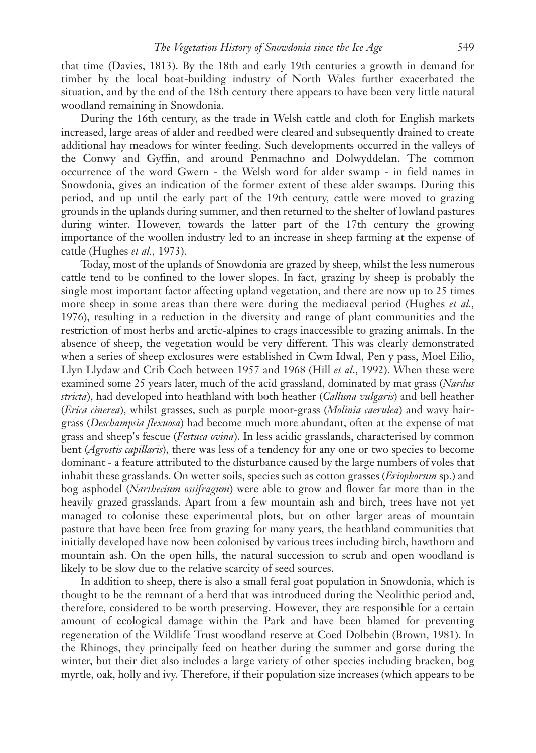that time (Davies, 1813). By the 18th and early 19th centuries a growth in demand for timber by the local boat-building industry of North Wales further exacerbated the situation, and by the end of the 18th century there appears to have been very little natural woodland remaining in Snowdonia.

During the 16th century, as the trade in Welsh cattle and cloth for English markets increased, large areas of alder and reedbed were cleared and subsequently drained to create additional hay meadows for winter feeding. Such developments occurred in the valleys of the Conwy and Gyffin, and around Penmachno and Dolwyddelan. The common occurrence of the word Gwern - the Welsh word for alder swamp - in field names in Snowdonia, gives an indication of the former extent of these alder swamps. During this period, and up until the early part of the 19th century, cattle were moved to grazing grounds in the uplands during summer, and then returned to the shelter of lowland pastures during winter. However, towards the latter part of the 17th century the growing importance of the woollen industry led to an increase in sheep farming at the expense of cattle (Hughes *et al.,* 1973).

Today, most of the uplands of Snowdonia are grazed by sheep, whilst the less numerous cattle tend to be confined to the lower slopes. In fact, grazing by sheep is probably the single most important factor affecting upland vegetation, and there are now up to 25 times more sheep in some areas than there were during the mediaeval period (Hughes *et al.,* 1976), resulting in a reduction in the diversity and range of plant communities and the restriction of most herbs and arctic-alpines to crags inaccessible to grazing animals. In the absence of sheep, the vegetation would be very different. This was clearly demonstrated when a series of sheep exclosures were established in Cwm Idwal, Pen y pass, Moel Eilio, Llyn Llydaw and Crib Coch between 1957 and 1968 (Hill *et al*., 1992). When these were examined some 25 years later, much of the acid grassland, dominated by mat grass (*Nardus stricta*), had developed into heathland with both heather (*Calluna vulgaris*) and bell heather (*Erica cinerea*), whilst grasses, such as purple moor-grass (*Molinia caerulea*) and wavy hairgrass (*Deschampsia flexuosa*) had become much more abundant, often at the expense of mat grass and sheep's fescue (*Festuca ovina*). In less acidic grasslands, characterised by common bent (*Agrostis capillaris*), there was less of a tendency for any one or two species to become dominant - a feature attributed to the disturbance caused by the large numbers of voles that inhabit these grasslands. On wetter soils, species such as cotton grasses (*Eriophorum* sp.) and bog asphodel (*Narthecium ossifragum*) were able to grow and flower far more than in the heavily grazed grasslands. Apart from a few mountain ash and birch, trees have not yet managed to colonise these experimental plots, but on other larger areas of mountain pasture that have been free from grazing for many years, the heathland communities that initially developed have now been colonised by various trees including birch, hawthorn and mountain ash. On the open hills, the natural succession to scrub and open woodland is likely to be slow due to the relative scarcity of seed sources.

In addition to sheep, there is also a small feral goat population in Snowdonia, which is thought to be the remnant of a herd that was introduced during the Neolithic period and, therefore, considered to be worth preserving. However, they are responsible for a certain amount of ecological damage within the Park and have been blamed for preventing regeneration of the Wildlife Trust woodland reserve at Coed Dolbebin (Brown, 1981). In the Rhinogs, they principally feed on heather during the summer and gorse during the winter, but their diet also includes a large variety of other species including bracken, bog myrtle, oak, holly and ivy. Therefore, if their population size increases (which appears to be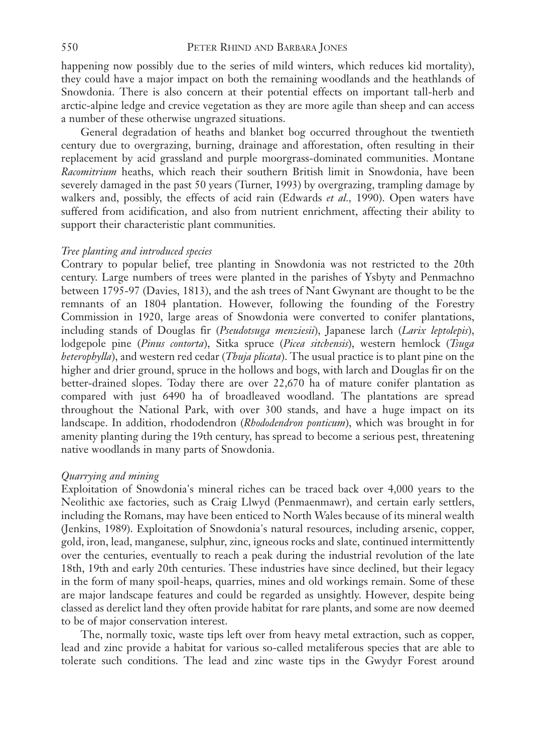happening now possibly due to the series of mild winters, which reduces kid mortality), they could have a major impact on both the remaining woodlands and the heathlands of Snowdonia. There is also concern at their potential effects on important tall-herb and arctic-alpine ledge and crevice vegetation as they are more agile than sheep and can access a number of these otherwise ungrazed situations.

General degradation of heaths and blanket bog occurred throughout the twentieth century due to overgrazing, burning, drainage and afforestation, often resulting in their replacement by acid grassland and purple moorgrass-dominated communities. Montane *Racomitrium* heaths, which reach their southern British limit in Snowdonia, have been severely damaged in the past 50 years (Turner, 1993) by overgrazing, trampling damage by walkers and, possibly, the effects of acid rain (Edwards *et al.,* 1990). Open waters have suffered from acidification, and also from nutrient enrichment, affecting their ability to support their characteristic plant communities.

## *Tree planting and introduced species*

Contrary to popular belief, tree planting in Snowdonia was not restricted to the 20th century. Large numbers of trees were planted in the parishes of Ysbyty and Penmachno between 1795-97 (Davies, 1813), and the ash trees of Nant Gwynant are thought to be the remnants of an 1804 plantation. However, following the founding of the Forestry Commission in 1920, large areas of Snowdonia were converted to conifer plantations, including stands of Douglas fir (*Pseudotsuga menziesii*), Japanese larch (*Larix leptolepis*), lodgepole pine (*Pinus contorta*), Sitka spruce (*Picea sitchensis*), western hemlock (*Tsuga heterophylla*), and western red cedar (*Thuja plicata*). The usual practice is to plant pine on the higher and drier ground, spruce in the hollows and bogs, with larch and Douglas fir on the better-drained slopes. Today there are over 22,670 ha of mature conifer plantation as compared with just 6490 ha of broadleaved woodland. The plantations are spread throughout the National Park, with over 300 stands, and have a huge impact on its landscape. In addition, rhododendron (*Rhododendron ponticum*), which was brought in for amenity planting during the 19th century, has spread to become a serious pest, threatening native woodlands in many parts of Snowdonia.

## *Quarrying and mining*

Exploitation of Snowdonia's mineral riches can be traced back over 4,000 years to the Neolithic axe factories, such as Craig Llwyd (Penmaenmawr), and certain early settlers, including the Romans, may have been enticed to North Wales because of its mineral wealth (Jenkins, 1989). Exploitation of Snowdonia's natural resources, including arsenic, copper, gold, iron, lead, manganese, sulphur, zinc, igneous rocks and slate, continued intermittently over the centuries, eventually to reach a peak during the industrial revolution of the late 18th, 19th and early 20th centuries. These industries have since declined, but their legacy in the form of many spoil-heaps, quarries, mines and old workings remain. Some of these are major landscape features and could be regarded as unsightly. However, despite being classed as derelict land they often provide habitat for rare plants, and some are now deemed to be of major conservation interest.

The, normally toxic, waste tips left over from heavy metal extraction, such as copper, lead and zinc provide a habitat for various so-called metaliferous species that are able to tolerate such conditions. The lead and zinc waste tips in the Gwydyr Forest around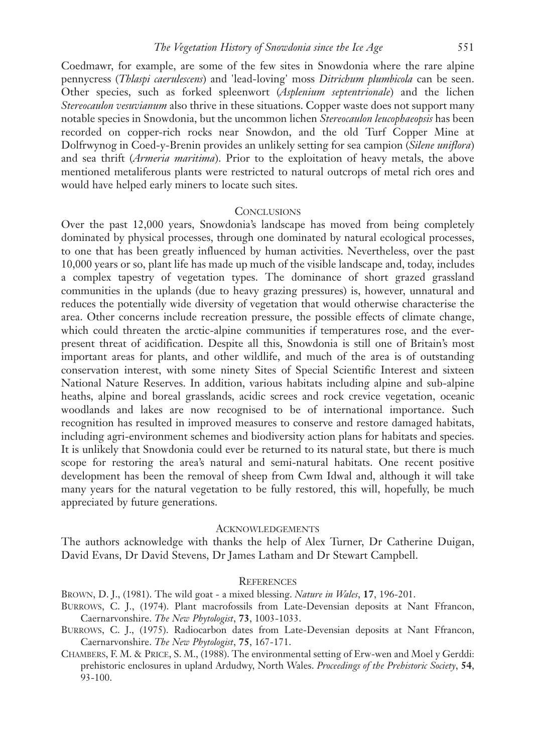Coedmawr, for example, are some of the few sites in Snowdonia where the rare alpine pennycress (*Thlaspi caerulescens*) and 'lead-loving' moss *Ditrichum plumbicola* can be seen. Other species, such as forked spleenwort (*Asplenium septentrionale*) and the lichen *Stereocaulon vesuvianum* also thrive in these situations. Copper waste does not support many notable species in Snowdonia, but the uncommon lichen *Stereocaulon leucophaeopsis* has been recorded on copper-rich rocks near Snowdon, and the old Turf Copper Mine at Dolfrwynog in Coed-y-Brenin provides an unlikely setting for sea campion (*Silene uniflora*) and sea thrift (*Armeria maritima*). Prior to the exploitation of heavy metals, the above mentioned metaliferous plants were restricted to natural outcrops of metal rich ores and would have helped early miners to locate such sites.

## **CONCLUSIONS**

Over the past 12,000 years, Snowdonia's landscape has moved from being completely dominated by physical processes, through one dominated by natural ecological processes, to one that has been greatly influenced by human activities. Nevertheless, over the past 10,000 years or so, plant life has made up much of the visible landscape and, today, includes a complex tapestry of vegetation types. The dominance of short grazed grassland communities in the uplands (due to heavy grazing pressures) is, however, unnatural and reduces the potentially wide diversity of vegetation that would otherwise characterise the area. Other concerns include recreation pressure, the possible effects of climate change, which could threaten the arctic-alpine communities if temperatures rose, and the everpresent threat of acidification. Despite all this, Snowdonia is still one of Britain's most important areas for plants, and other wildlife, and much of the area is of outstanding conservation interest, with some ninety Sites of Special Scientific Interest and sixteen National Nature Reserves. In addition, various habitats including alpine and sub-alpine heaths, alpine and boreal grasslands, acidic screes and rock crevice vegetation, oceanic woodlands and lakes are now recognised to be of international importance. Such recognition has resulted in improved measures to conserve and restore damaged habitats, including agri-environment schemes and biodiversity action plans for habitats and species. It is unlikely that Snowdonia could ever be returned to its natural state, but there is much scope for restoring the area's natural and semi-natural habitats. One recent positive development has been the removal of sheep from Cwm Idwal and, although it will take many years for the natural vegetation to be fully restored, this will, hopefully, be much appreciated by future generations.

## **ACKNOWLEDGEMENTS**

The authors acknowledge with thanks the help of Alex Turner, Dr Catherine Duigan, David Evans, Dr David Stevens, Dr James Latham and Dr Stewart Campbell.

#### **REFERENCES**

BROWN, D. J., (1981). The wild goat - a mixed blessing. *Nature in Wales*, **17**, 196-201.

- BURROWS, C. J., (1974). Plant macrofossils from Late-Devensian deposits at Nant Ffrancon, Caernarvonshire. *The New Phytologist*, **73**, 1003-1033.
- BURROWS, C. J., (1975). Radiocarbon dates from Late-Devensian deposits at Nant Ffrancon, Caernarvonshire. *The New Phytologist*, **75**, 167-171.
- CHAMBERS, F. M. & PRICE, S. M., (1988). The environmental setting of Erw-wen and Moel y Gerddi: prehistoric enclosures in upland Ardudwy, North Wales. *Proceedings of the Prehistoric Society*, **54**, 93-100.